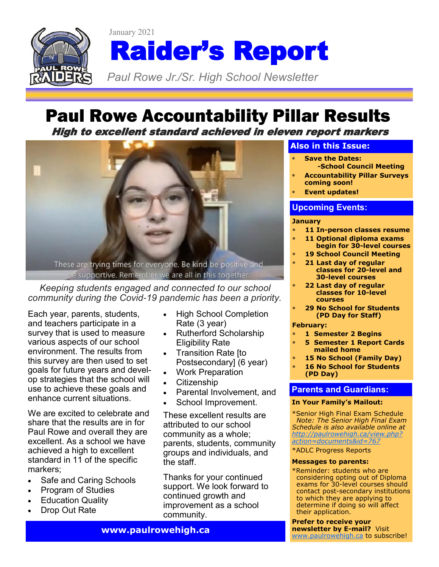

# Paul Rowe Accountability Pillar Results

High to excellent standard achieved in eleven report markers



*Keeping students engaged and connected to our school community during the Covid-19 pandemic has been a priority.*

Each year, parents, students, and teachers participate in a survey that is used to measure various aspects of our school environment. The results from this survey are then used to set goals for future years and develop strategies that the school will use to achieve these goals and enhance current situations.

We are excited to celebrate and share that the results are in for Paul Rowe and overall they are excellent. As a school we have achieved a high to excellent standard in 11 of the specific markers;

- Safe and Caring Schools
- Program of Studies
- **Education Quality**
- Drop Out Rate
- High School Completion Rate (3 year)
- Rutherford Scholarship Eligibility Rate
- Transition Rate [to Postsecondary] (6 year)
- Work Preparation
- Citizenship
- Parental Involvement, and
- School Improvement.

These excellent results are attributed to our school community as a whole; parents, students, community groups and individuals, and the staff.

Thanks for your continued support. We look forward to continued growth and improvement as a school community.

#### **Also in this Issue:**

- **Save the Dates: -School Council Meeting**
- **Accountability Pillar Surveys coming soon!**
- **Event updates!**

### **Upcoming Events:**

#### **January**

- **11 In-person classes resume**
- **11 Optional diploma exams begin for 30-level courses**
- **19 School Council Meeting**
- **21 Last day of regular classes for 20-level and 30-level courses**
- **22 Last day of regular classes for 10-level courses**
- **29 No School for Students (PD Day for Staff)**

#### **February:**

- **1 Semester 2 Begins**
- **5 Semester 1 Report Cards mailed home**
- **15 No School (Family Day)**
- **16 No School for Students (PD Day)**

#### **Parents and Guardians:**

#### **In Your Family's Mailout:**

\*Senior High Final Exam Schedule *Note: The Senior High Final Exam Schedule is also available online at [http://paulrowehigh.ca/view.php?](http://paulrowehigh.ca/view.php?action=documents&id=767) [action=documents&id=767](http://paulrowehigh.ca/view.php?action=documents&id=767)*

\*ADLC Progress Reports

#### **Messages to parents:**

\*Reminder: students who are considering opting out of Diploma exams for 30-level courses should contact post-secondary institutions to which they are applying to determine if doing so will affect their application.

**Prefer to receive your newsletter by E-mail?** Visit [www.paulrowehigh.ca](http://www.paulrowehigh.ca) to subscribe!

**www.paulrowehigh.ca**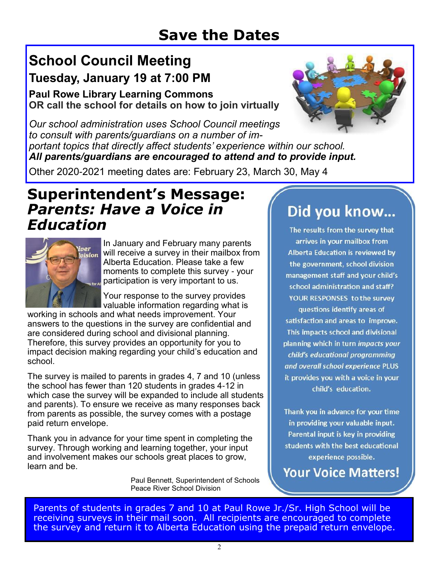## **Save the Dates**

## **School Council Meeting Tuesday, January 19 at 7:00 PM**

**Paul Rowe Library Learning Commons OR call the school for details on how to join virtually**



*Our school administration uses School Council meetings to consult with parents/guardians on a number of important topics that directly affect students' experience within our school. All parents/guardians are encouraged to attend and to provide input.*

Other 2020-2021 meeting dates are: February 23, March 30, May 4

## **Superintendent's Message:** *Parents: Have a Voice in Education*



In January and February many parents will receive a survey in their mailbox from Alberta Education. Please take a few moments to complete this survey - your participation is very important to us.

Your response to the survey provides valuable information regarding what is

working in schools and what needs improvement. Your answers to the questions in the survey are confidential and are considered during school and divisional planning. Therefore, this survey provides an opportunity for you to impact decision making regarding your child's education and school.

The survey is mailed to parents in grades 4, 7 and 10 (unless the school has fewer than 120 students in grades 4-12 in which case the survey will be expanded to include all students and parents). To ensure we receive as many responses back from parents as possible, the survey comes with a postage paid return envelope.

Thank you in advance for your time spent in completing the survey. Through working and learning together, your input and involvement makes our schools great places to grow, learn and be.

> Paul Bennett, Superintendent of Schools Peace River School Division

# Did you know...

The results from the survey that arrives in your mailbox from Alberta Education is reviewed by the government, school division management staff and your child's school administration and staff? YOUR RESPONSES to the survey questions identify areas of satisfaction and areas to improve. This impacts school and divisional planning which in turn impacts your child's educational programming and overall school experience PLUS it provides you with a voice in your child's education.

Thank you in advance for your time in providing your valuable input. Parental input is key in providing students with the best educational experience possible.

**Your Voice Matters!** 

Parents of students in grades 7 and 10 at Paul Rowe Jr./Sr. High School will be receiving surveys in their mail soon. All recipients are encouraged to complete the survey and return it to Alberta Education using the prepaid return envelope.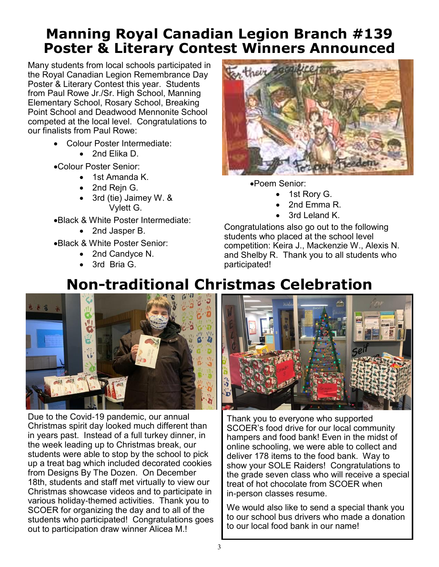## **Manning Royal Canadian Legion Branch #139 Poster & Literary Contest Winners Announced**

Many students from local schools participated in the Royal Canadian Legion Remembrance Day Poster & Literary Contest this year. Students from Paul Rowe Jr./Sr. High School, Manning Elementary School, Rosary School, Breaking Point School and Deadwood Mennonite School competed at the local level. Congratulations to our finalists from Paul Rowe:

- Colour Poster Intermediate:
	- 2nd Elika D.
- •Colour Poster Senior:
	- 1st Amanda K.
	- 2nd Rejn G.
	- 3rd (tie) Jaimey W. & Vylett G.
- •Black & White Poster Intermediate:
	- 2nd Jasper B.
- •Black & White Poster Senior:
	- 2nd Candyce N.
	- 3rd Bria G.



•Poem Senior:

- 1st Rory G.
- 2nd Emma R.
- 3rd Leland K.

Congratulations also go out to the following students who placed at the school level competition: Keira J., Mackenzie W., Alexis N. and Shelby R. Thank you to all students who participated!

# **Non-traditional Christmas Celebration**



Due to the Covid-19 pandemic, our annual Christmas spirit day looked much different than in years past. Instead of a full turkey dinner, in the week leading up to Christmas break, our students were able to stop by the school to pick up a treat bag which included decorated cookies from Designs By The Dozen. On December 18th, students and staff met virtually to view our Christmas showcase videos and to participate in various holiday-themed activities. Thank you to SCOER for organizing the day and to all of the students who participated! Congratulations goes out to participation draw winner Alicea M.!



Thank you to everyone who supported SCOER's food drive for our local community hampers and food bank! Even in the midst of online schooling, we were able to collect and deliver 178 items to the food bank. Way to show your SOLE Raiders! Congratulations to the grade seven class who will receive a special treat of hot chocolate from SCOER when in-person classes resume.

We would also like to send a special thank you to our school bus drivers who made a donation to our local food bank in our name!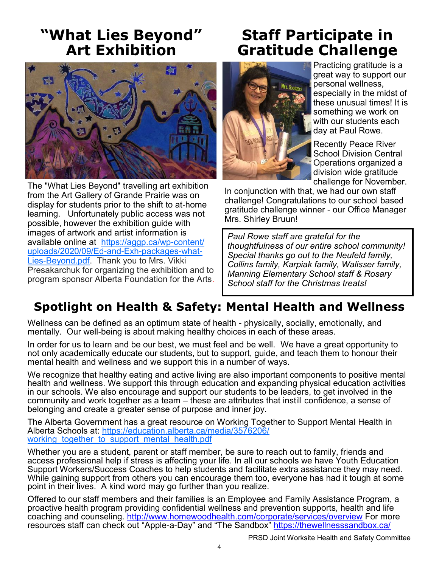## **"What Lies Beyond" Art Exhibition**



The "What Lies Beyond" travelling art exhibition from the Art Gallery of Grande Prairie was on display for students prior to the shift to at-home learning. Unfortunately public access was not possible, however the exhibition guide with images of artwork and artist information is available online at [https://aggp.ca/wp-content/](https://aggp.ca/wp-content/uploads/2020/09/Ed-and-Exh-packages-what-Lies-Beyond.pdf) [uploads/2020/09/Ed-and-Exh-packages-what-](https://aggp.ca/wp-content/uploads/2020/09/Ed-and-Exh-packages-what-Lies-Beyond.pdf)[Lies-Beyond.pdf.](https://aggp.ca/wp-content/uploads/2020/09/Ed-and-Exh-packages-what-Lies-Beyond.pdf) Thank you to Mrs. Vikki Presakarchuk for organizing the exhibition and to program sponsor Alberta Foundation for the Arts.

## **Staff Participate in Gratitude Challenge**



Practicing gratitude is a great way to support our personal wellness, especially in the midst of these unusual times! It is something we work on with our students each day at Paul Rowe.

Recently Peace River School Division Central Operations organized a division wide gratitude challenge for November.

In conjunction with that, we had our own staff challenge! Congratulations to our school based gratitude challenge winner - our Office Manager Mrs. Shirley Bruun!

*Paul Rowe staff are grateful for the thoughtfulness of our entire school community! Special thanks go out to the Neufeld family, Collins family, Karpiak family, Walisser family, Manning Elementary School staff & Rosary School staff for the Christmas treats!*

## **Spotlight on Health & Safety: Mental Health and Wellness**

Wellness can be defined as an optimum state of health - physically, socially, emotionally, and mentally. Our well-being is about making healthy choices in each of these areas.

In order for us to learn and be our best, we must feel and be well. We have a great opportunity to not only academically educate our students, but to support, guide, and teach them to honour their mental health and wellness and we support this in a number of ways.

We recognize that healthy eating and active living are also important components to positive mental health and wellness. We support this through education and expanding physical education activities in our schools. We also encourage and support our students to be leaders, to get involved in the community and work together as a team – these are attributes that instill confidence, a sense of belonging and create a greater sense of purpose and inner joy.

The Alberta Government has a great resource on Working Together to Support Mental Health in Alberta Schools at: [https://education.alberta.ca/media/3576206/](https://education.alberta.ca/media/3576206/working_together_to_support_mental_health.pdf) working together to support mental health.pdf

Whether you are a student, parent or staff member, be sure to reach out to family, friends and access professional help if stress is affecting your life. In all our schools we have Youth Education Support Workers/Success Coaches to help students and facilitate extra assistance they may need. While gaining support from others you can encourage them too, everyone has had it tough at some point in their lives. A kind word may go further than you realize.

Offered to our staff members and their families is an Employee and Family Assistance Program, a proactive health program providing confidential wellness and prevention supports, health and life coaching and counseling.<http://www.homewoodhealth.com/corporate/services/overview> For more resources staff can check out "Apple-a-Day" and "The Sandbox" <https://thewellnesssandbox.ca/>